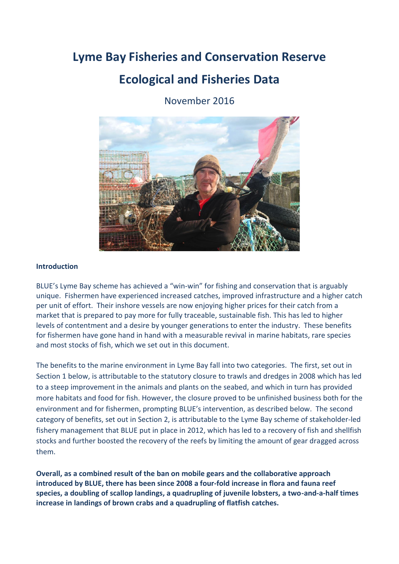# **Lyme Bay Fisheries and Conservation Reserve**

# **Ecological and Fisheries Data**

November 2016



#### **Introduction**

BLUE's Lyme Bay scheme has achieved a "win-win" for fishing and conservation that is arguably unique. Fishermen have experienced increased catches, improved infrastructure and a higher catch per unit of effort. Their inshore vessels are now enjoying higher prices for their catch from a market that is prepared to pay more for fully traceable, sustainable fish. This has led to higher levels of contentment and a desire by younger generations to enter the industry. These benefits for fishermen have gone hand in hand with a measurable revival in marine habitats, rare species and most stocks of fish, which we set out in this document.

The benefits to the marine environment in Lyme Bay fall into two categories. The first, set out in Section 1 below, is attributable to the statutory closure to trawls and dredges in 2008 which has led to a steep improvement in the animals and plants on the seabed, and which in turn has provided more habitats and food for fish. However, the closure proved to be unfinished business both for the environment and for fishermen, prompting BLUE's intervention, as described below. The second category of benefits, set out in Section 2, is attributable to the Lyme Bay scheme of stakeholder-led fishery management that BLUE put in place in 2012, which has led to a recovery of fish and shellfish stocks and further boosted the recovery of the reefs by limiting the amount of gear dragged across them.

**Overall, as a combined result of the ban on mobile gears and the collaborative approach introduced by BLUE, there has been since 2008 a four-fold increase in flora and fauna reef species, a doubling of scallop landings, a quadrupling of juvenile lobsters, a two-and-a-half times increase in landings of brown crabs and a quadrupling of flatfish catches.**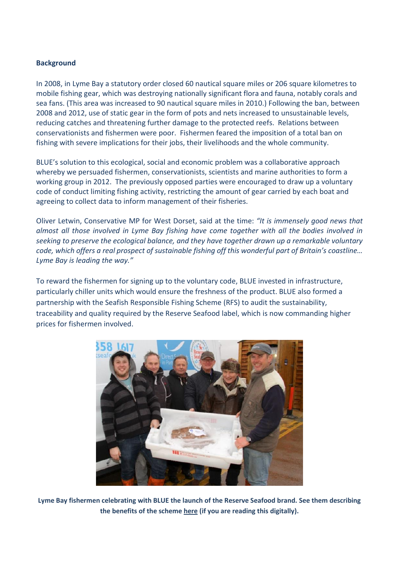### **Background**

In 2008, in Lyme Bay a statutory order closed 60 nautical square miles or 206 square kilometres to mobile fishing gear, which was destroying nationally significant flora and fauna, notably corals and sea fans. (This area was increased to 90 nautical square miles in 2010.) Following the ban, between 2008 and 2012, use of static gear in the form of pots and nets increased to unsustainable levels, reducing catches and threatening further damage to the protected reefs. Relations between conservationists and fishermen were poor. Fishermen feared the imposition of a total ban on fishing with severe implications for their jobs, their livelihoods and the whole community.

BLUE's solution to this ecological, social and economic problem was a collaborative approach whereby we persuaded fishermen, conservationists, scientists and marine authorities to form a working group in 2012. The previously opposed parties were encouraged to draw up a voluntary code of conduct limiting fishing activity, restricting the amount of gear carried by each boat and agreeing to collect data to inform management of their fisheries.

Oliver Letwin, Conservative MP for West Dorset, said at the time: *"It is immensely good news that almost all those involved in Lyme Bay fishing have come together with all the bodies involved in seeking to preserve the ecological balance, and they have together drawn up a remarkable voluntary code, which offers a real prospect of sustainable fishing off this wonderful part of Britain's coastline… Lyme Bay is leading the way."*

To reward the fishermen for signing up to the voluntary code, BLUE invested in infrastructure, particularly chiller units which would ensure the freshness of the product. BLUE also formed a partnership with the Seafish Responsible Fishing Scheme (RFS) to audit the sustainability, traceability and quality required by the Reserve Seafood label, which is now commanding higher prices for fishermen involved.



**Lyme Bay fishermen celebrating with BLUE the launch of the Reserve Seafood brand. See them describing the benefits of the scheme [here](https://vimeo.com/157164584) (if you are reading this digitally).**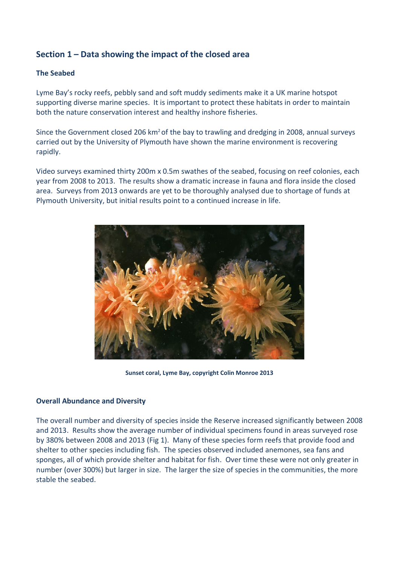# **Section 1 – Data showing the impact of the closed area**

### **The Seabed**

Lyme Bay's rocky reefs, pebbly sand and soft muddy sediments make it a UK marine hotspot supporting diverse marine species. It is important to protect these habitats in order to maintain both the nature conservation interest and healthy inshore fisheries.

Since the Government closed 206 km<sup>2</sup> of the bay to trawling and dredging in 2008, annual surveys carried out by the University of Plymouth have shown the marine environment is recovering rapidly.

Video surveys examined thirty 200m x 0.5m swathes of the seabed, focusing on reef colonies, each year from 2008 to 2013. The results show a dramatic increase in fauna and flora inside the closed area. Surveys from 2013 onwards are yet to be thoroughly analysed due to shortage of funds at Plymouth University, but initial results point to a continued increase in life.



**Sunset coral, Lyme Bay, copyright Colin Monroe 2013**

### **Overall Abundance and Diversity**

The overall number and diversity of species inside the Reserve increased significantly between 2008 and 2013. Results show the average number of individual specimens found in areas surveyed rose by 380% between 2008 and 2013 (Fig 1). Many of these species form reefs that provide food and shelter to other species including fish. The species observed included anemones, sea fans and sponges, all of which provide shelter and habitat for fish. Over time these were not only greater in number (over 300%) but larger in size. The larger the size of species in the communities, the more stable the seabed.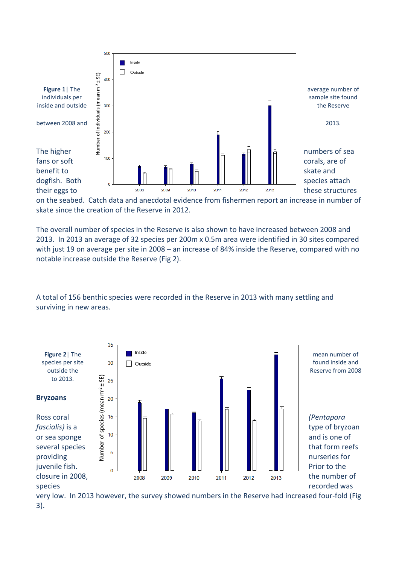

on the seabed. Catch data and anecdotal evidence from fishermen report an increase in number of skate since the creation of the Reserve in 2012.

The overall number of species in the Reserve is also shown to have increased between 2008 and 2013. In 2013 an average of 32 species per 200m x 0.5m area were identified in 30 sites compared with just 19 on average per site in 2008 – an increase of 84% inside the Reserve, compared with no notable increase outside the Reserve (Fig 2).

A total of 156 benthic species were recorded in the Reserve in 2013 with many settling and surviving in new areas.



very low. In 2013 however, the survey showed numbers in the Reserve had increased four-fold (Fig 3).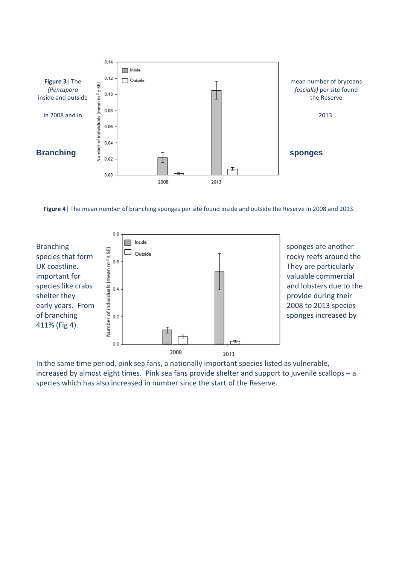

**Figure 4**| The mean number of branching sponges per site found inside and outside the Reserve in 2008 and 2013.



In the same time period, pink sea fans, a nationally important species listed as vulnerable, increased by almost eight times. Pink sea fans provide shelter and support to juvenile scallops – a species which has also increased in number since the start of the Reserve.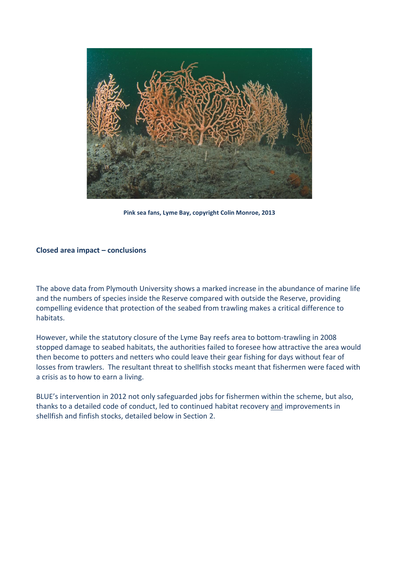

**Pink sea fans, Lyme Bay, copyright Colin Monroe, 2013**

#### **Closed area impact – conclusions**

The above data from Plymouth University shows a marked increase in the abundance of marine life and the numbers of species inside the Reserve compared with outside the Reserve, providing compelling evidence that protection of the seabed from trawling makes a critical difference to habitats.

However, while the statutory closure of the Lyme Bay reefs area to bottom-trawling in 2008 stopped damage to seabed habitats, the authorities failed to foresee how attractive the area would then become to potters and netters who could leave their gear fishing for days without fear of losses from trawlers. The resultant threat to shellfish stocks meant that fishermen were faced with a crisis as to how to earn a living.

BLUE's intervention in 2012 not only safeguarded jobs for fishermen within the scheme, but also, thanks to a detailed code of conduct, led to continued habitat recovery and improvements in shellfish and finfish stocks, detailed below in Section 2.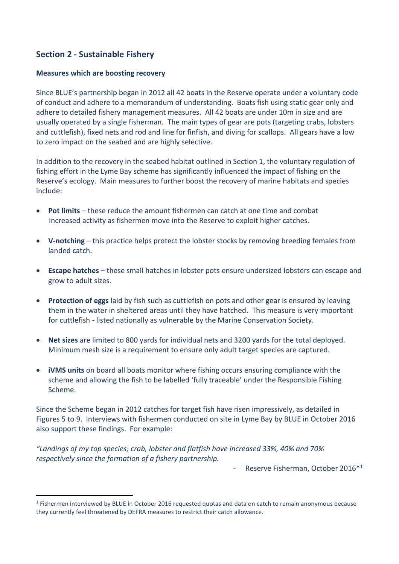# **Section 2 - Sustainable Fishery**

#### **Measures which are boosting recovery**

Since BLUE's partnership began in 2012 all 42 boats in the Reserve operate under a voluntary code of conduct and adhere to a memorandum of understanding. Boats fish using static gear only and adhere to detailed fishery management measures. All 42 boats are under 10m in size and are usually operated by a single fisherman. The main types of gear are pots (targeting crabs, lobsters and cuttlefish), fixed nets and rod and line for finfish, and diving for scallops. All gears have a low to zero impact on the seabed and are highly selective.

In addition to the recovery in the seabed habitat outlined in Section 1, the voluntary regulation of fishing effort in the Lyme Bay scheme has significantly influenced the impact of fishing on the Reserve's ecology. Main measures to further boost the recovery of marine habitats and species include:

- **Pot limits** these reduce the amount fishermen can catch at one time and combat increased activity as fishermen move into the Reserve to exploit higher catches.
- **V-notching** this practice helps protect the lobster stocks by removing breeding females from landed catch.
- **Escape hatches**  these small hatches in lobster pots ensure undersized lobsters can escape and grow to adult sizes.
- **Protection of eggs** laid by fish such as cuttlefish on pots and other gear is ensured by leaving them in the water in sheltered areas until they have hatched. This measure is very important for cuttlefish - listed nationally as vulnerable by the Marine Conservation Society.
- **Net sizes** are limited to 800 yards for individual nets and 3200 yards for the total deployed. Minimum mesh size is a requirement to ensure only adult target species are captured.
- **iVMS units** on board all boats monitor where fishing occurs ensuring compliance with the scheme and allowing the fish to be labelled 'fully traceable' under the Responsible Fishing Scheme.

Since the Scheme began in 2012 catches for target fish have risen impressively, as detailed in Figures 5 to 9. Interviews with fishermen conducted on site in Lyme Bay by BLUE in October 2016 also support these findings. For example:

*"Landings of my top species; crab, lobster and flatfish have increased 33%, 40% and 70% respectively since the formation of a fishery partnership.*

Reserve Fisherman, October 2016\*1

<sup>&</sup>lt;sup>1</sup> Fishermen interviewed by BLUE in October 2016 requested quotas and data on catch to remain anonymous because they currently feel threatened by DEFRA measures to restrict their catch allowance.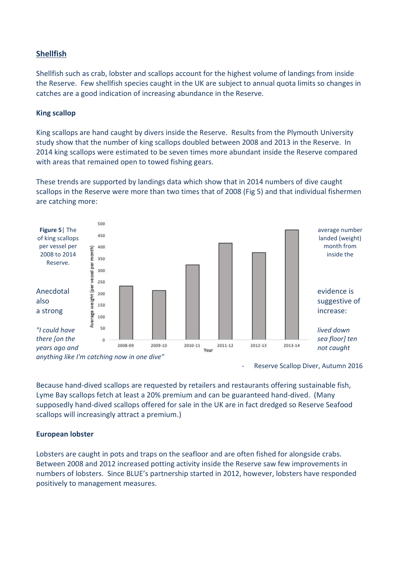### **Shellfish**

Shellfish such as crab, lobster and scallops account for the highest volume of landings from inside the Reserve. Few shellfish species caught in the UK are subject to annual quota limits so changes in catches are a good indication of increasing abundance in the Reserve.

#### **King scallop**

King scallops are hand caught by divers inside the Reserve. Results from the Plymouth University study show that the number of king scallops doubled between 2008 and 2013 in the Reserve. In 2014 king scallops were estimated to be seven times more abundant inside the Reserve compared with areas that remained open to towed fishing gears.

These trends are supported by landings data which show that in 2014 numbers of dive caught scallops in the Reserve were more than two times that of 2008 (Fig 5) and that individual fishermen are catching more:



Reserve Scallop Diver, Autumn 2016

Because hand-dived scallops are requested by retailers and restaurants offering sustainable fish, Lyme Bay scallops fetch at least a 20% premium and can be guaranteed hand-dived. (Many supposedly hand-dived scallops offered for sale in the UK are in fact dredged so Reserve Seafood scallops will increasingly attract a premium.)

#### **European lobster**

Lobsters are caught in pots and traps on the seafloor and are often fished for alongside crabs. Between 2008 and 2012 increased potting activity inside the Reserve saw few improvements in numbers of lobsters. Since BLUE's partnership started in 2012, however, lobsters have responded positively to management measures.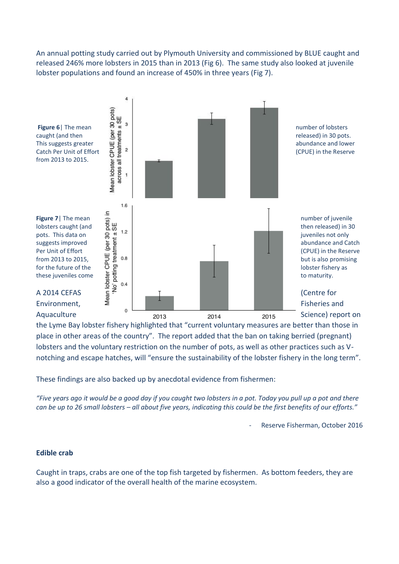An annual potting study carried out by Plymouth University and commissioned by BLUE caught and released 246% more lobsters in 2015 than in 2013 (Fig 6). The same study also looked at juvenile lobster populations and found an increase of 450% in three years (Fig 7).



the Lyme Bay lobster fishery highlighted that "current voluntary measures are better than those in place in other areas of the country". The report added that the ban on taking berried (pregnant) lobsters and the voluntary restriction on the number of pots, as well as other practices such as Vnotching and escape hatches, will "ensure the sustainability of the lobster fishery in the long term".

These findings are also backed up by anecdotal evidence from fishermen:

*"Five years ago it would be a good day if you caught two lobsters in a pot. Today you pull up a pot and there can be up to 26 small lobsters – all about five years, indicating this could be the first benefits of our efforts."*

Reserve Fisherman, October 2016

### **Edible crab**

Caught in traps, crabs are one of the top fish targeted by fishermen. As bottom feeders, they are also a good indicator of the overall health of the marine ecosystem.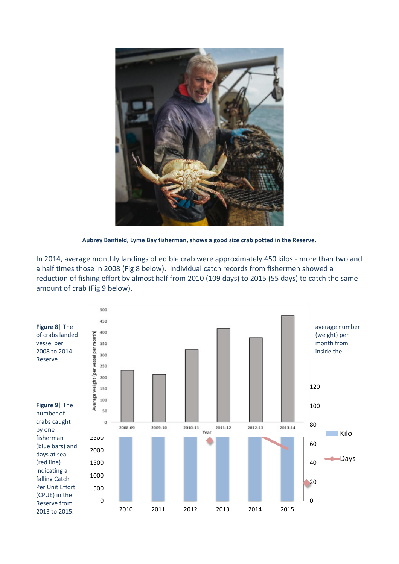

**Aubrey Banfield, Lyme Bay fisherman, shows a good size crab potted in the Reserve.**

In 2014, average monthly landings of edible crab were approximately 450 kilos - more than two and a half times those in 2008 (Fig 8 below). Individual catch records from fishermen showed a reduction of fishing effort by almost half from 2010 (109 days) to 2015 (55 days) to catch the same amount of crab (Fig 9 below).

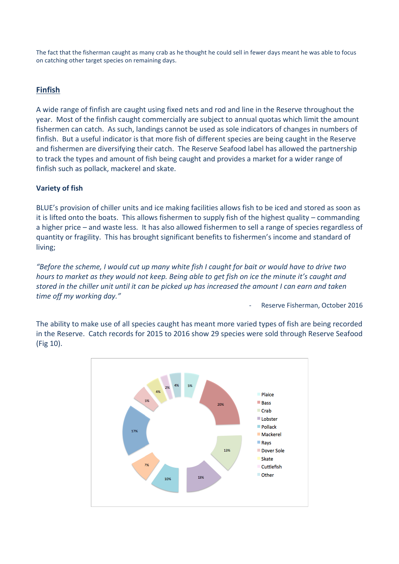The fact that the fisherman caught as many crab as he thought he could sell in fewer days meant he was able to focus on catching other target species on remaining days.

## **Finfish**

A wide range of finfish are caught using fixed nets and rod and line in the Reserve throughout the year. Most of the finfish caught commercially are subject to annual quotas which limit the amount fishermen can catch. As such, landings cannot be used as sole indicators of changes in numbers of finfish. But a useful indicator is that more fish of different species are being caught in the Reserve and fishermen are diversifying their catch. The Reserve Seafood label has allowed the partnership to track the types and amount of fish being caught and provides a market for a wider range of finfish such as pollack, mackerel and skate.

## **Variety of fish**

BLUE's provision of chiller units and ice making facilities allows fish to be iced and stored as soon as it is lifted onto the boats. This allows fishermen to supply fish of the highest quality – commanding a higher price – and waste less. It has also allowed fishermen to sell a range of species regardless of quantity or fragility. This has brought significant benefits to fishermen's income and standard of living;

*"Before the scheme, I would cut up many white fish I caught for bait or would have to drive two hours to market as they would not keep. Being able to get fish on ice the minute it's caught and stored in the chiller unit until it can be picked up has increased the amount I can earn and taken time off my working day."* 

Reserve Fisherman, October 2016

The ability to make use of all species caught has meant more varied types of fish are being recorded in the Reserve. Catch records for 2015 to 2016 show 29 species were sold through Reserve Seafood (Fig 10).

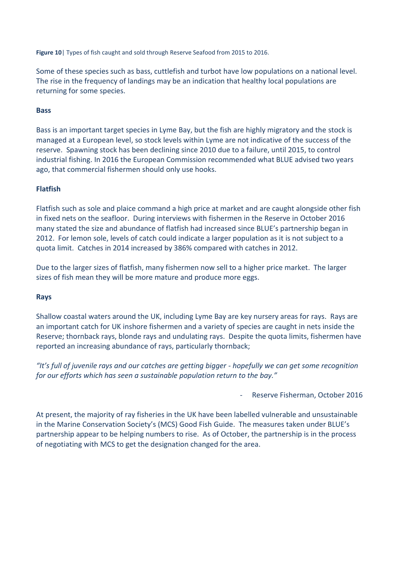**Figure 10**| Types of fish caught and sold through Reserve Seafood from 2015 to 2016.

Some of these species such as bass, cuttlefish and turbot have low populations on a national level. The rise in the frequency of landings may be an indication that healthy local populations are returning for some species.

#### **Bass**

Bass is an important target species in Lyme Bay, but the fish are highly migratory and the stock is managed at a European level, so stock levels within Lyme are not indicative of the success of the reserve. Spawning stock has been declining since 2010 due to a failure, until 2015, to control industrial fishing. In 2016 the European Commission recommended what BLUE advised two years ago, that commercial fishermen should only use hooks.

### **Flatfish**

Flatfish such as sole and plaice command a high price at market and are caught alongside other fish in fixed nets on the seafloor. During interviews with fishermen in the Reserve in October 2016 many stated the size and abundance of flatfish had increased since BLUE's partnership began in 2012. For lemon sole, levels of catch could indicate a larger population as it is not subject to a quota limit. Catches in 2014 increased by 386% compared with catches in 2012.

Due to the larger sizes of flatfish, many fishermen now sell to a higher price market. The larger sizes of fish mean they will be more mature and produce more eggs.

#### **Rays**

Shallow coastal waters around the UK, including Lyme Bay are key nursery areas for rays. Rays are an important catch for UK inshore fishermen and a variety of species are caught in nets inside the Reserve; thornback rays, blonde rays and undulating rays. Despite the quota limits, fishermen have reported an increasing abundance of rays, particularly thornback;

*"It's full of juvenile rays and our catches are getting bigger - hopefully we can get some recognition for our efforts which has seen a sustainable population return to the bay."*

- Reserve Fisherman, October 2016

At present, the majority of ray fisheries in the UK have been labelled vulnerable and unsustainable in the Marine Conservation Society's (MCS) Good Fish Guide. The measures taken under BLUE's partnership appear to be helping numbers to rise. As of October, the partnership is in the process of negotiating with MCS to get the designation changed for the area.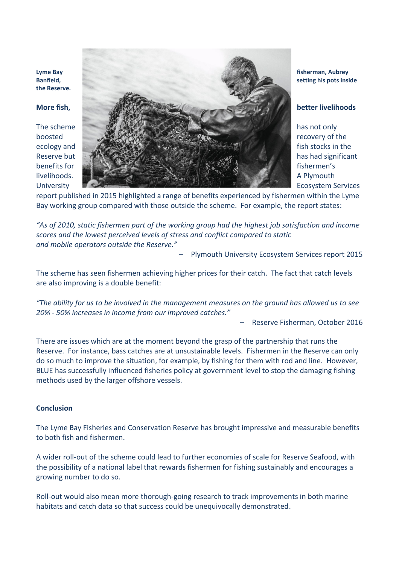**the Reserve.**



report published in 2015 highlighted a range of benefits experienced by fishermen within the Lyme Bay working group compared with those outside the scheme. For example, the report states:

*"As of 2010, static fishermen part of the working group had the highest job satisfaction and income scores and the lowest perceived levels of stress and conflict compared to static and mobile operators outside the Reserve."*

– Plymouth University Ecosystem Services report 2015

The scheme has seen fishermen achieving higher prices for their catch. The fact that catch levels are also improving is a double benefit:

*"The ability for us to be involved in the management measures on the ground has allowed us to see 20% - 50% increases in income from our improved catches."*

– Reserve Fisherman, October 2016

There are issues which are at the moment beyond the grasp of the partnership that runs the Reserve. For instance, bass catches are at unsustainable levels. Fishermen in the Reserve can only do so much to improve the situation, for example, by fishing for them with rod and line. However, BLUE has successfully influenced fisheries policy at government level to stop the damaging fishing methods used by the larger offshore vessels.

#### **Conclusion**

The Lyme Bay Fisheries and Conservation Reserve has brought impressive and measurable benefits to both fish and fishermen.

A wider roll-out of the scheme could lead to further economies of scale for Reserve Seafood, with the possibility of a national label that rewards fishermen for fishing sustainably and encourages a growing number to do so.

Roll-out would also mean more thorough-going research to track improvements in both marine habitats and catch data so that success could be unequivocally demonstrated.